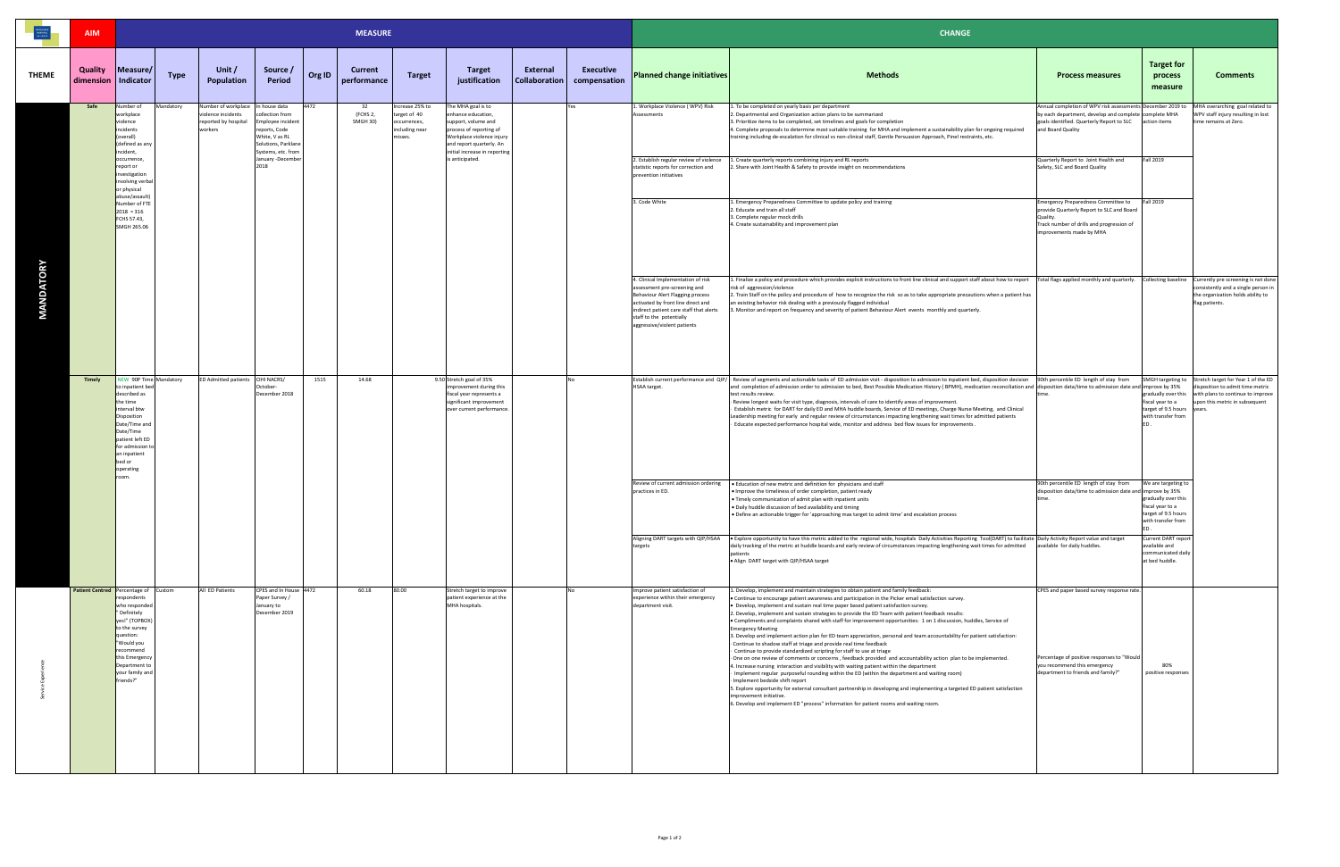|                  | <b>AIM</b>                  |                                                                                                                                                                                                                                                  | <b>MEASURE</b> |                                                                                            |                                                                                             |        |                            |                                                                              |                                                                                                                                                     |                           |                                  | <b>CHANGE</b>                                                                                                                                                                                                                                      |                                                                                                                                                                                                                                                                                                                                                                                                                                                                                                                                                                                                                                                                                                                                                                                                                                                                                                                                                                                                                                                                                                                                                                                                                                                                                                                                                                                                                              |                                                                                                                                                                                       |                                                                                                             |                                                                                                                                                                  |
|------------------|-----------------------------|--------------------------------------------------------------------------------------------------------------------------------------------------------------------------------------------------------------------------------------------------|----------------|--------------------------------------------------------------------------------------------|---------------------------------------------------------------------------------------------|--------|----------------------------|------------------------------------------------------------------------------|-----------------------------------------------------------------------------------------------------------------------------------------------------|---------------------------|----------------------------------|----------------------------------------------------------------------------------------------------------------------------------------------------------------------------------------------------------------------------------------------------|------------------------------------------------------------------------------------------------------------------------------------------------------------------------------------------------------------------------------------------------------------------------------------------------------------------------------------------------------------------------------------------------------------------------------------------------------------------------------------------------------------------------------------------------------------------------------------------------------------------------------------------------------------------------------------------------------------------------------------------------------------------------------------------------------------------------------------------------------------------------------------------------------------------------------------------------------------------------------------------------------------------------------------------------------------------------------------------------------------------------------------------------------------------------------------------------------------------------------------------------------------------------------------------------------------------------------------------------------------------------------------------------------------------------------|---------------------------------------------------------------------------------------------------------------------------------------------------------------------------------------|-------------------------------------------------------------------------------------------------------------|------------------------------------------------------------------------------------------------------------------------------------------------------------------|
| <b>THEME</b>     | <b>Quality</b><br>dimension | Measure/<br>Indicator                                                                                                                                                                                                                            | Type           | Unit /<br><b>Population</b>                                                                | Source /<br><b>Period</b>                                                                   | Org ID | Current<br>performance     | <b>Target</b>                                                                | <b>Target</b><br>justification                                                                                                                      | External<br>Collaboration | <b>Executive</b><br>compensation | <b>Planned change initiatives</b>                                                                                                                                                                                                                  | <b>Methods</b>                                                                                                                                                                                                                                                                                                                                                                                                                                                                                                                                                                                                                                                                                                                                                                                                                                                                                                                                                                                                                                                                                                                                                                                                                                                                                                                                                                                                               | <b>Process measures</b>                                                                                                                                                               | <b>Target for</b><br>process<br>measure                                                                     | <b>Comments</b>                                                                                                                                                  |
|                  | Safe                        | Number of<br>workplace<br>violence<br>incidents<br>(overall)<br>(defined as any                                                                                                                                                                  | Mandatory      | Number of workplace In house data<br>violence incidents<br>reported by hospital<br>workers | llection from<br>mployee incident<br>reports, Code<br>White, V as RL<br>Solutions, Parklane | 4472   | 32<br>(FCHS 2,<br>SMGH 30) | Increase 25% to<br>target of 40<br>occurrences,<br>including near<br>misses. | The MHA goal is to<br>enhance education,<br>support, volume and<br>process of reporting of<br>Workplace violence injury<br>and report quarterly. An |                           | Yes                              | 1. Workplace Violence (WPV) Risk<br>Assessments                                                                                                                                                                                                    | 1. To be completed on yearly basis per department<br>2. Departmental and Organization action plans to be summarized<br>3. Prioritize items to be completed, set timelines and goals for completion<br>4. Complete proposals to determine most suitable training for MHA and implement a sustainability plan for ongoing required<br>training including de-escalation for clinical vs non-clinical staff, Gentle Persuasion Approach, Pinel restraints, etc.                                                                                                                                                                                                                                                                                                                                                                                                                                                                                                                                                                                                                                                                                                                                                                                                                                                                                                                                                                  | Annual completion of WPV risk assessments December 2019 to<br>by each department, develop and complete complete MHA<br>goals identified. Quarterly Report to SLC<br>and Board Quality | action items                                                                                                | MHA overarching goal related to<br>WPV staff injury resulting in lost<br>time remains at Zero.                                                                   |
| <b>MANDATORY</b> |                             | incident,<br>occurrence,<br>report or<br>investigation<br>involving verbal<br>or physical<br>abuse/assault)<br>Number of FTE<br>$2018 = 316$<br>FCHS 57.43,<br>SMGH 265.06                                                                       |                |                                                                                            | Systems, etc. from<br>January -December<br>2018                                             |        |                            |                                                                              | initial increase in reporting<br>is anticipated.                                                                                                    |                           |                                  | 2. Establish regular review of violence<br>statistic reports for correction and<br>prevention initiatives                                                                                                                                          | 1. Create quarterly reports combining injury and RL reports<br>. Share with Joint Health & Safety to provide insight on recommendations                                                                                                                                                                                                                                                                                                                                                                                                                                                                                                                                                                                                                                                                                                                                                                                                                                                                                                                                                                                                                                                                                                                                                                                                                                                                                      | Quarterly Report to Joint Health and<br>Safety, SLC and Board Quality                                                                                                                 | <b>Fall 2019</b>                                                                                            |                                                                                                                                                                  |
|                  |                             |                                                                                                                                                                                                                                                  |                |                                                                                            |                                                                                             |        |                            |                                                                              |                                                                                                                                                     |                           |                                  | 3. Code White                                                                                                                                                                                                                                      | 1. Emergency Preparedness Committee to update policy and training<br>2. Educate and train all staff<br>3. Complete regular mock drills<br>4. Create sustainability and improvement plan                                                                                                                                                                                                                                                                                                                                                                                                                                                                                                                                                                                                                                                                                                                                                                                                                                                                                                                                                                                                                                                                                                                                                                                                                                      | <b>Emergency Preparedness Committee to</b><br>provide Quarterly Report to SLC and Board<br>Quality.<br>Track number of drills and progression of<br>improvements made by MHA          | <b>Fall 2019</b>                                                                                            |                                                                                                                                                                  |
|                  |                             |                                                                                                                                                                                                                                                  |                |                                                                                            |                                                                                             |        |                            |                                                                              |                                                                                                                                                     |                           |                                  | 4. Clinical Implementation of risk<br>assessment pre-screening and<br>Behaviour Alert Flagging process<br>activated by front line direct and<br>indirect patient care staff that alerts<br>staff to the potentially<br>aggressive/violent patients | 1. Finalize a policy and procedure which provides explicit instructions to front line clinical and support staff about how to report<br>risk of aggression/violence<br>2. Train Staff on the policy and procedure of how to recognize the risk so as to take appropriate precautions when a patient has<br>an existing behavior risk dealing with a previously flagged individual<br>3. Monitor and report on frequency and severity of patient Behaviour Alert events monthly and quarterly.                                                                                                                                                                                                                                                                                                                                                                                                                                                                                                                                                                                                                                                                                                                                                                                                                                                                                                                                | Total flags applied monthly and quarterly. Collecting baseline Currently pre screening is not done                                                                                    |                                                                                                             | consistently and a single person in<br>the organization holds ability to<br>flag patients.                                                                       |
|                  | Timely                      | NEW 90P Time Mandatory<br>to inpatient bed<br>described as<br>the time<br>interval btw<br>Disposition<br>Date/Time and<br>Date/Time<br>patient left ED<br>for admission t<br>an inpatient<br>bed or<br>operating                                 |                | ED Admitted patients CIHI NACRS/                                                           | October-<br>December 2018                                                                   | 1515   | 14.68                      |                                                                              | 9.50 Stretch goal of 35%<br>mprovement during this<br>fiscal year represents a<br>significant improvement<br>over current performance               | <b>INO</b>                |                                  | <b>HSAA target.</b>                                                                                                                                                                                                                                | Establish current performance and QIP/ Review of segments and actionable tasks of ED admission visit - disposition to admission to inpatient bed, disposition decision<br>and completion of admission order to admission to bed, Best Possible Medication History (BPMH), medication reconciliation and  disposition data/time to admission date and  improve by 35%<br>test results review.<br>Review longest waits for visit type, diagnosis, intervals of care to identify areas of improvement.<br>Establish metric for DART for daily ED and MHA huddle boards, Service of ED meetings, Charge Nurse Meeting, and Clinical<br>Leadership meeting for early and regular review of circumstances impacting lengthening wait times for admitted patients<br>Educate expected performance hospital wide, monitor and address bed flow issues for improvements .                                                                                                                                                                                                                                                                                                                                                                                                                                                                                                                                                             | 90th percentile ED length of stay from                                                                                                                                                | gradually over this<br>fiscal year to a<br>target of 9.5 hours years.<br>with transfer from                 | SMGH targeting to Stretch target for Year 1 of the ED<br>disposition to admit time metric<br>with plans to continue to improve<br>upon this metric in subsequent |
|                  |                             | room                                                                                                                                                                                                                                             |                |                                                                                            |                                                                                             |        |                            |                                                                              |                                                                                                                                                     |                           |                                  | Review of current admission ordering<br>practices in ED.                                                                                                                                                                                           | . Education of new metric and definition for physicians and staff<br>Improve the timeliness of order completion, patient ready<br>. Timely communication of admit plan with inpatient units<br>. Daily huddle discussion of bed availability and timing<br>. Define an actionable trigger for 'approaching max target to admit time' and escalation process                                                                                                                                                                                                                                                                                                                                                                                                                                                                                                                                                                                                                                                                                                                                                                                                                                                                                                                                                                                                                                                                  | 90th percentile ED length of stay from<br>disposition data/time to admission date and improve by 35%                                                                                  | We are targeting to<br>gradually over this<br>fiscal year to a<br>target of 9.5 hours<br>with transfer from |                                                                                                                                                                  |
|                  |                             |                                                                                                                                                                                                                                                  |                |                                                                                            |                                                                                             |        |                            |                                                                              |                                                                                                                                                     |                           |                                  | Aligning DART targets with QIP/HSAA<br>targets                                                                                                                                                                                                     | . Explore opportunity to have this metric added to the regional wide, hospitals Daily Activities Reporting Tool(DART) to facilitate Daily Activity Report value and target<br>daily tracking of the metric at huddle boards and early review of circumstances impacting lengthening wait times for admitted<br>patients<br>. Align DART target with QIP/HSAA target                                                                                                                                                                                                                                                                                                                                                                                                                                                                                                                                                                                                                                                                                                                                                                                                                                                                                                                                                                                                                                                          | available for daily huddles.                                                                                                                                                          | <b>Current DART report</b><br>available and<br>communicated daily<br>at bed huddle.                         |                                                                                                                                                                  |
|                  |                             | <b>Patient Centred</b> Percentage of Custom<br>respondents<br>who responded<br>" Definitely<br>yes!" (TOPBOX)<br>to the survey<br>question:<br>"Would you<br><i>recommend</i><br>this Emergency<br>Department to<br>your family and<br>friends?" |                | All ED Patients                                                                            | CPES and In House 4472<br>Paper Survey /<br>January to<br>December 2019                     |        | 60.18                      | 80.00                                                                        | Stretch target to improve<br>patient experience at the<br>MHA hospitals.                                                                            |                           | <b>INo</b>                       | Improve patient satisfaction of<br>experience within their emergency<br>department visit.                                                                                                                                                          | 1. Develop, implement and maintain strategies to obtain patient and family feedback:<br>. Continue to encourage patient awareness and participation in the Picker email satisfaction survey.<br>· Develop, implement and sustain real time paper based patient satisfaction survey.<br>2. Develop, implement and sustain strategies to provide the ED Team with patient feedback results:<br>. Compliments and complaints shared with staff for improvement opportunities: 1 on 1 discussion, huddles, Service of<br><b>Emergency Meeting</b><br>3. Develop and implement action plan for ED team appreciation, personal and team accountability for patient satisfaction:<br>Continue to shadow staff at triage and provide real time feedback<br>Continue to provide standardized scripting for staff to use at triage<br>One on one review of comments or concerns, feedback provided and accountability action plan to be implemented.<br>4. Increase nursing interaction and visibility with waiting patient within the department<br>Implement regular purposeful rounding within the ED (within the department and waiting room)<br>Implement bedside shift report<br>5. Explore opportunity for external consultant partnership in developing and implementing a targeted ED patient satisfaction<br>mprovement initiative.<br>6. Develop and implement ED "process" information for patient rooms and waiting room. | CPES and paper based survey response rate.<br>Percentage of positive responses to "Would<br>you recommend this emergency<br>department to friends and family?"                        | 80%<br>positive responses                                                                                   |                                                                                                                                                                  |